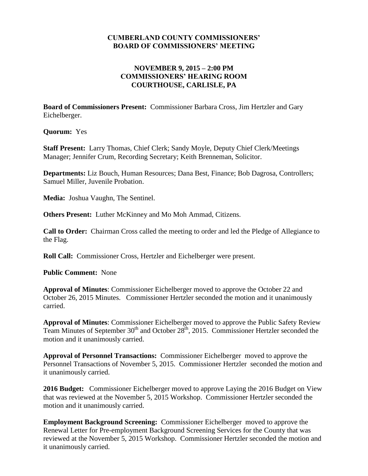## **CUMBERLAND COUNTY COMMISSIONERS' BOARD OF COMMISSIONERS' MEETING**

## **NOVEMBER 9, 2015 – 2:00 PM COMMISSIONERS' HEARING ROOM COURTHOUSE, CARLISLE, PA**

**Board of Commissioners Present:** Commissioner Barbara Cross, Jim Hertzler and Gary Eichelberger.

**Quorum:** Yes

**Staff Present:** Larry Thomas, Chief Clerk; Sandy Moyle, Deputy Chief Clerk/Meetings Manager; Jennifer Crum, Recording Secretary; Keith Brenneman, Solicitor.

**Departments:** Liz Bouch, Human Resources; Dana Best, Finance; Bob Dagrosa, Controllers; Samuel Miller, Juvenile Probation.

**Media:** Joshua Vaughn, The Sentinel.

**Others Present:** Luther McKinney and Mo Moh Ammad, Citizens.

**Call to Order:** Chairman Cross called the meeting to order and led the Pledge of Allegiance to the Flag.

**Roll Call:** Commissioner Cross, Hertzler and Eichelberger were present.

**Public Comment:** None

**Approval of Minutes**: Commissioner Eichelberger moved to approve the October 22 and October 26, 2015 Minutes. Commissioner Hertzler seconded the motion and it unanimously carried.

**Approval of Minutes**: Commissioner Eichelberger moved to approve the Public Safety Review Team Minutes of September  $30<sup>th</sup>$  and October  $28<sup>th</sup>$ , 2015. Commissioner Hertzler seconded the motion and it unanimously carried.

**Approval of Personnel Transactions:** Commissioner Eichelberger moved to approve the Personnel Transactions of November 5, 2015. Commissioner Hertzler seconded the motion and it unanimously carried.

**2016 Budget:** Commissioner Eichelberger moved to approve Laying the 2016 Budget on View that was reviewed at the November 5, 2015 Workshop. Commissioner Hertzler seconded the motion and it unanimously carried.

**Employment Background Screening:** Commissioner Eichelberger moved to approve the Renewal Letter for Pre-employment Background Screening Services for the County that was reviewed at the November 5, 2015 Workshop. Commissioner Hertzler seconded the motion and it unanimously carried.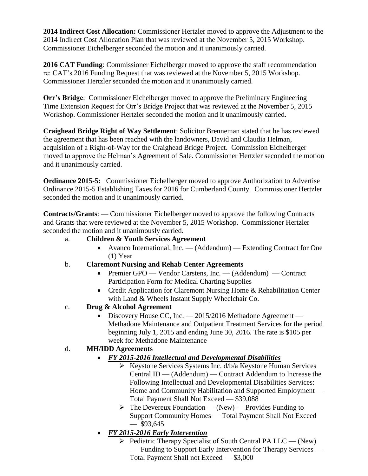**2014 Indirect Cost Allocation:** Commissioner Hertzler moved to approve the Adjustment to the 2014 Indirect Cost Allocation Plan that was reviewed at the November 5, 2015 Workshop. Commissioner Eichelberger seconded the motion and it unanimously carried.

**2016 CAT Funding**: Commissioner Eichelberger moved to approve the staff recommendation re: CAT's 2016 Funding Request that was reviewed at the November 5, 2015 Workshop. Commissioner Hertzler seconded the motion and it unanimously carried.

**Orr's Bridge**: Commissioner Eichelberger moved to approve the Preliminary Engineering Time Extension Request for Orr's Bridge Project that was reviewed at the November 5, 2015 Workshop. Commissioner Hertzler seconded the motion and it unanimously carried.

**Craighead Bridge Right of Way Settlement**: Solicitor Brenneman stated that he has reviewed the agreement that has been reached with the landowners, David and Claudia Helman, acquisition of a Right-of-Way for the Craighead Bridge Project. Commission Eichelberger moved to approve the Helman's Agreement of Sale. Commissioner Hertzler seconded the motion and it unanimously carried.

**Ordinance 2015-5:** Commissioner Eichelberger moved to approve Authorization to Advertise Ordinance 2015-5 Establishing Taxes for 2016 for Cumberland County. Commissioner Hertzler seconded the motion and it unanimously carried.

**Contracts/Grants**: — Commissioner Eichelberger moved to approve the following Contracts and Grants that were reviewed at the November 5, 2015 Workshop. Commissioner Hertzler seconded the motion and it unanimously carried.

- a. **Children & Youth Services Agreement**
	- Avanco International, Inc. (Addendum) Extending Contract for One (1) Year
- b. **Claremont Nursing and Rehab Center Agreements**
	- Premier GPO Vendor Carstens, Inc. (Addendum) Contract Participation Form for Medical Charting Supplies
	- Credit Application for Claremont Nursing Home & Rehabilitation Center with Land & Wheels Instant Supply Wheelchair Co.
- c. **Drug & Alcohol Agreement** 
	- Discovery House CC, Inc. 2015/2016 Methadone Agreement -Methadone Maintenance and Outpatient Treatment Services for the period beginning July 1, 2015 and ending June 30, 2016. The rate is \$105 per week for Methadone Maintenance

## d. **MH/IDD Agreements**

- *FY 2015-2016 Intellectual and Developmental Disabilities*
	- $\triangleright$  Keystone Services Systems Inc. d/b/a Keystone Human Services Central ID — (Addendum) — Contract Addendum to Increase the Following Intellectual and Developmental Disabilities Services: Home and Community Habilitation and Supported Employment — Total Payment Shall Not Exceed — \$39,088
	- $\triangleright$  The Devereux Foundation (New) Provides Funding to Support Community Homes — Total Payment Shall Not Exceed  $-$  \$93,645
- *FY 2015-2016 Early Intervention*
	- $\triangleright$  Pediatric Therapy Specialist of South Central PA LLC (New) — Funding to Support Early Intervention for Therapy Services — Total Payment Shall not Exceed — \$3,000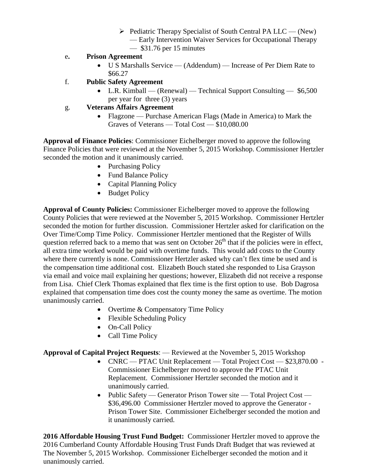- $\triangleright$  Pediatric Therapy Specialist of South Central PA LLC (New) — Early Intervention Waiver Services for Occupational Therapy
	- \$31.76 per 15 minutes
- e**. Prison Agreement**
	- U S Marshalls Service (Addendum) Increase of Per Diem Rate to \$66.27
- f. **Public Safety Agreement**
	- L.R. Kimball (Renewal) Technical Support Consulting \$6,500 per year for three (3) years
- g. **Veterans Affairs Agreement**
	- Flagzone Purchase American Flags (Made in America) to Mark the Graves of Veterans — Total Cost — \$10,080.00

**Approval of Finance Policies**: Commissioner Eichelberger moved to approve the following Finance Policies that were reviewed at the November 5, 2015 Workshop. Commissioner Hertzler seconded the motion and it unanimously carried.

- Purchasing Policy
- Fund Balance Policy
- Capital Planning Policy
- Budget Policy

**Approval of County Policies:** Commissioner Eichelberger moved to approve the following County Policies that were reviewed at the November 5, 2015 Workshop. Commissioner Hertzler seconded the motion for further discussion. Commissioner Hertzler asked for clarification on the Over Time/Comp Time Policy. Commissioner Hertzler mentioned that the Register of Wills question referred back to a memo that was sent on October  $26<sup>th</sup>$  that if the policies were in effect, all extra time worked would be paid with overtime funds. This would add costs to the County where there currently is none. Commissioner Hertzler asked why can't flex time be used and is the compensation time additional cost. Elizabeth Bouch stated she responded to Lisa Grayson via email and voice mail explaining her questions; however, Elizabeth did not receive a response from Lisa. Chief Clerk Thomas explained that flex time is the first option to use. Bob Dagrosa explained that compensation time does cost the county money the same as overtime. The motion unanimously carried.

- Overtime & Compensatory Time Policy
- Flexible Scheduling Policy
- On-Call Policy
- Call Time Policy

**Approval of Capital Project Requests**: — Reviewed at the November 5, 2015 Workshop

- CNRC PTAC Unit Replacement Total Project Cost \$23,870.00 Commissioner Eichelberger moved to approve the PTAC Unit Replacement. Commissioner Hertzler seconded the motion and it unanimously carried.
- Public Safety Generator Prison Tower site Total Project Cost \$36,496.00 Commissioner Hertzler moved to approve the Generator - Prison Tower Site. Commissioner Eichelberger seconded the motion and it unanimously carried.

**2016 Affordable Housing Trust Fund Budget:** Commissioner Hertzler moved to approve the 2016 Cumberland County Affordable Housing Trust Funds Draft Budget that was reviewed at The November 5, 2015 Workshop. Commissioner Eichelberger seconded the motion and it unanimously carried.